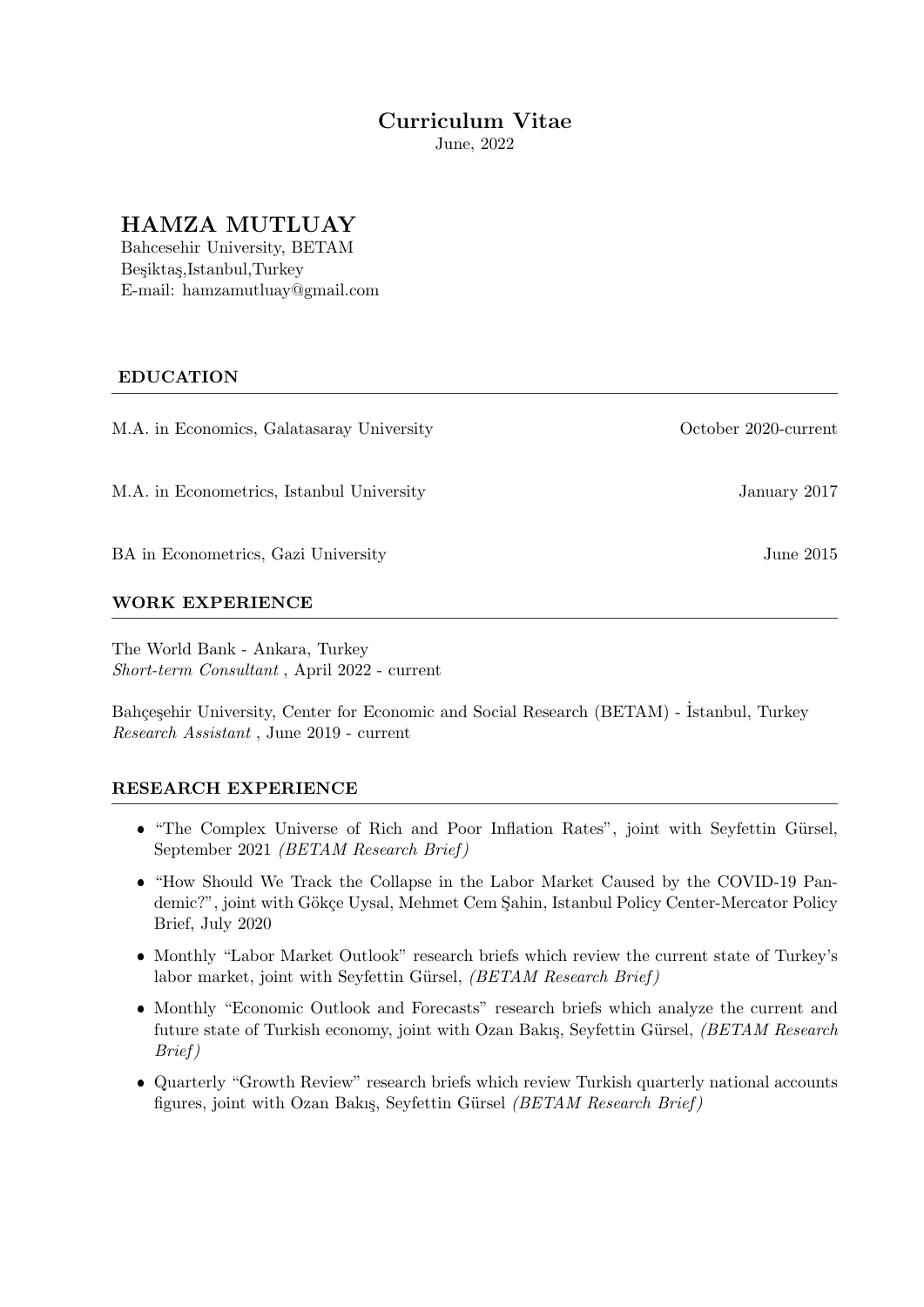# Curriculum Vitae

June, 2022

# HAMZA MUTLUAY

Bahcesehir University, BETAM Besiktas,Istanbul,Turkey E-mail: hamzamutluay@gmail.com

## EDUCATION

M.A. in Economics, Galatasaray University October 2020-current

M.A. in Econometrics, Istanbul University January 2017

BA in Econometrics, Gazi University June 2015

## WORK EXPERIENCE

The World Bank - Ankara, Turkey Short-term Consultant , April 2022 - current

Bahçeşehir University, Center for Economic and Social Research (BETAM) - İstanbul, Turkey Research Assistant , June 2019 - current

## RESEARCH EXPERIENCE

- "The Complex Universe of Rich and Poor Inflation Rates", joint with Seyfettin Gürsel, September 2021 (BETAM Research Brief )
- "How Should We Track the Collapse in the Labor Market Caused by the COVID-19 Pandemic?", joint with Gökçe Uysal, Mehmet Cem Sahin, Istanbul Policy Center-Mercator Policy Brief, July 2020
- Monthly "Labor Market Outlook" research briefs which review the current state of Turkey's labor market, joint with Seyfettin Gürsel,  $(BETAM Research Brief)$
- Monthly "Economic Outlook and Forecasts" research briefs which analyze the current and future state of Turkish economy, joint with Ozan Bakış, Seyfettin Gürsel, *(BETAM Research*) Brief )
- Quarterly "Growth Review" research briefs which review Turkish quarterly national accounts figures, joint with Ozan Bakış, Seyfettin Gürsel (BETAM Research Brief)